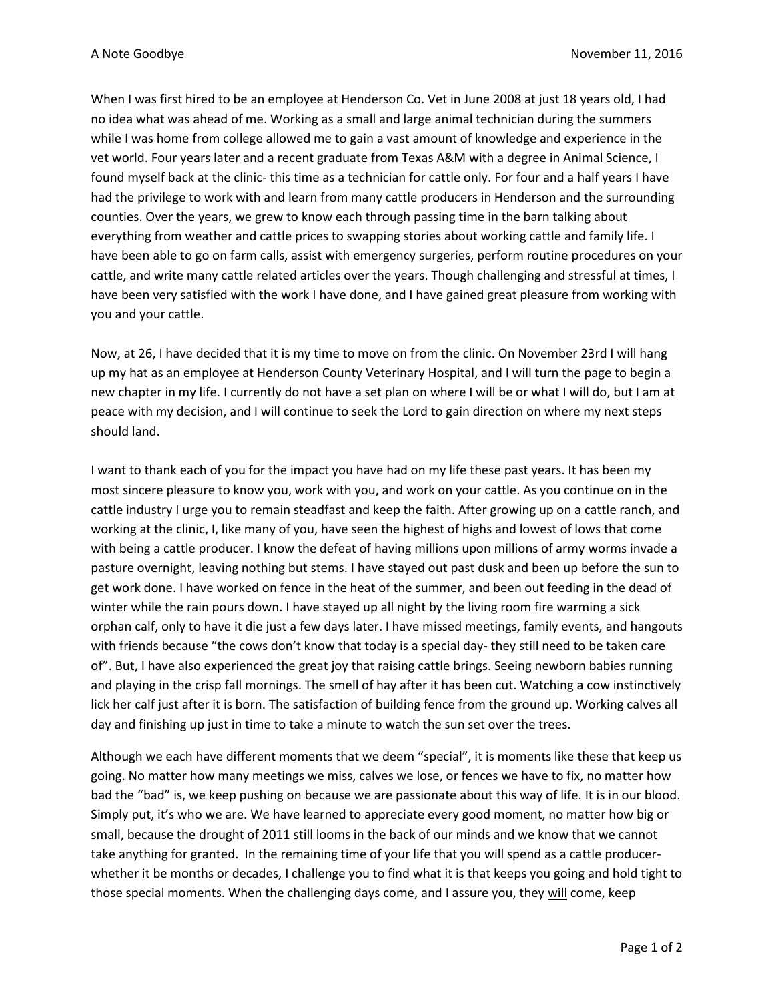When I was first hired to be an employee at Henderson Co. Vet in June 2008 at just 18 years old, I had no idea what was ahead of me. Working as a small and large animal technician during the summers while I was home from college allowed me to gain a vast amount of knowledge and experience in the vet world. Four years later and a recent graduate from Texas A&M with a degree in Animal Science, I found myself back at the clinic- this time as a technician for cattle only. For four and a half years I have had the privilege to work with and learn from many cattle producers in Henderson and the surrounding counties. Over the years, we grew to know each through passing time in the barn talking about everything from weather and cattle prices to swapping stories about working cattle and family life. I have been able to go on farm calls, assist with emergency surgeries, perform routine procedures on your cattle, and write many cattle related articles over the years. Though challenging and stressful at times, I have been very satisfied with the work I have done, and I have gained great pleasure from working with you and your cattle.

Now, at 26, I have decided that it is my time to move on from the clinic. On November 23rd I will hang up my hat as an employee at Henderson County Veterinary Hospital, and I will turn the page to begin a new chapter in my life. I currently do not have a set plan on where I will be or what I will do, but I am at peace with my decision, and I will continue to seek the Lord to gain direction on where my next steps should land.

I want to thank each of you for the impact you have had on my life these past years. It has been my most sincere pleasure to know you, work with you, and work on your cattle. As you continue on in the cattle industry I urge you to remain steadfast and keep the faith. After growing up on a cattle ranch, and working at the clinic, I, like many of you, have seen the highest of highs and lowest of lows that come with being a cattle producer. I know the defeat of having millions upon millions of army worms invade a pasture overnight, leaving nothing but stems. I have stayed out past dusk and been up before the sun to get work done. I have worked on fence in the heat of the summer, and been out feeding in the dead of winter while the rain pours down. I have stayed up all night by the living room fire warming a sick orphan calf, only to have it die just a few days later. I have missed meetings, family events, and hangouts with friends because "the cows don't know that today is a special day- they still need to be taken care of". But, I have also experienced the great joy that raising cattle brings. Seeing newborn babies running and playing in the crisp fall mornings. The smell of hay after it has been cut. Watching a cow instinctively lick her calf just after it is born. The satisfaction of building fence from the ground up. Working calves all day and finishing up just in time to take a minute to watch the sun set over the trees.

Although we each have different moments that we deem "special", it is moments like these that keep us going. No matter how many meetings we miss, calves we lose, or fences we have to fix, no matter how bad the "bad" is, we keep pushing on because we are passionate about this way of life. It is in our blood. Simply put, it's who we are. We have learned to appreciate every good moment, no matter how big or small, because the drought of 2011 still looms in the back of our minds and we know that we cannot take anything for granted. In the remaining time of your life that you will spend as a cattle producerwhether it be months or decades, I challenge you to find what it is that keeps you going and hold tight to those special moments. When the challenging days come, and I assure you, they will come, keep